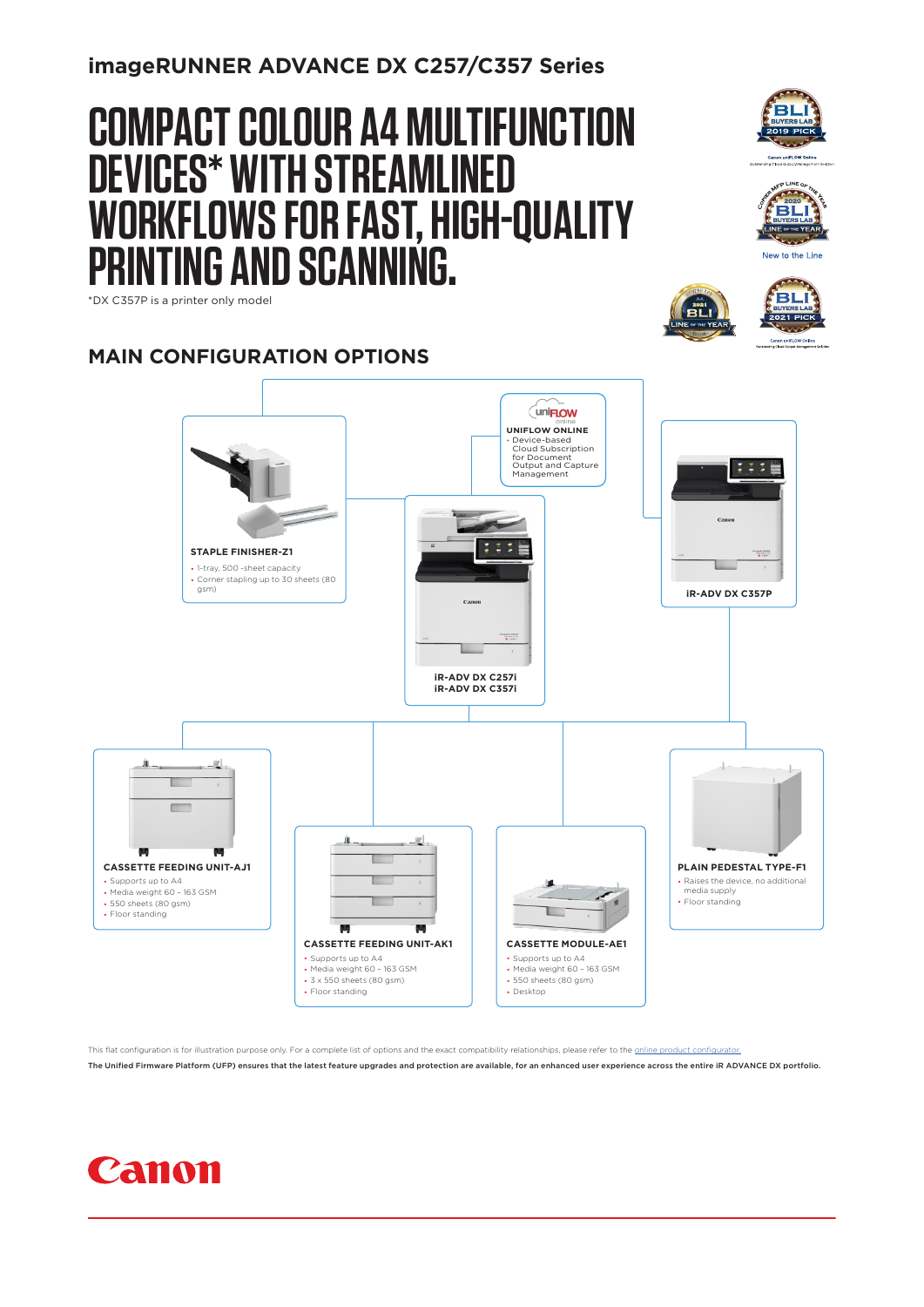**imageRUNNER ADVANCE DX C257/C357 Series**

# **COMPACT COLOUR A4 MULTIFUNCTION DEVICES\* WITH STREAMLINED WORKFLOWS FOR FAST, HIGH-QUALITY PRINTING AND SCANNING.**





**BLI** 

**Canon uniFLOW Online**<br>Ing Cloud Output Management !



#### **MAIN CONFIGURATION OPTIONS**



This flat configuration is for illustration purpose only. For a complete list of options and the exact compatibility relationships, please refer to the online productions

The Unified Firmware Platform (UFP) ensures that the latest feature upgrades and protection are available, for an enhanced user experience across the entire iR ADVANCE DX portfolio.

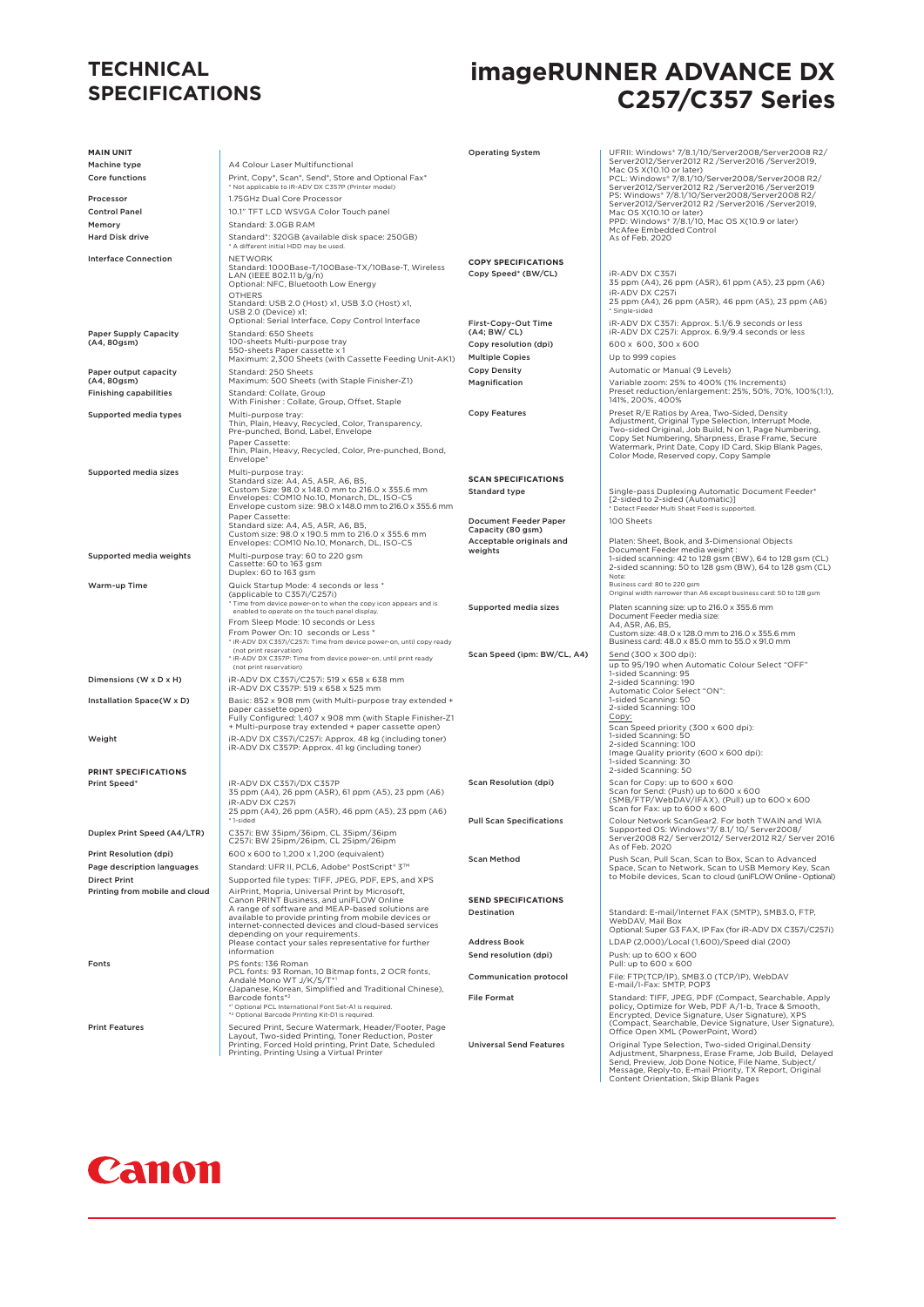#### **TECHNICAL SPECIFICATIONS**

## **imageRUNNER ADVANCE DX C257/C357 Series**

| <b>MAIN UNIT</b>                                  |                                                                                                                                                                                                                                                                                                    | <b>Operating System</b>                                                       | UFRII: Windows* 7/8.1/10/Server2008/Server2008 R2/                                                                                                                                                                                                                        |
|---------------------------------------------------|----------------------------------------------------------------------------------------------------------------------------------------------------------------------------------------------------------------------------------------------------------------------------------------------------|-------------------------------------------------------------------------------|---------------------------------------------------------------------------------------------------------------------------------------------------------------------------------------------------------------------------------------------------------------------------|
| Machine type                                      | A4 Colour Laser Multifunctional                                                                                                                                                                                                                                                                    |                                                                               | Server2012/Server2012 R2 /Server2016 /Server2019,<br>Mac OS X(10.10 or later)                                                                                                                                                                                             |
| Core functions                                    | Print, Copy*, Scan*, Send*, Store and Optional Fax*                                                                                                                                                                                                                                                |                                                                               | PCL: Windows® 7/8.1/10/Server2008/Server2008 R2/<br>Server2012/Server2012 R2 /Server2016 /Server2019                                                                                                                                                                      |
| Processor                                         | * Not applicable to iR-ADV DX C357P (Printer model)<br>1.75GHz Dual Core Processor                                                                                                                                                                                                                 |                                                                               | PS: Windows* 7/8.1/10/Server2008/Server2008 R2/                                                                                                                                                                                                                           |
| <b>Control Panel</b>                              | 10.1" TFT LCD WSVGA Color Touch panel                                                                                                                                                                                                                                                              |                                                                               | Server2012/Server2012 R2 /Server2016 /Server2019,<br>Mac OS X(10.10 or later)                                                                                                                                                                                             |
| Memory                                            | Standard: 3.0GB RAM                                                                                                                                                                                                                                                                                |                                                                               | PPD: Windows* 7/8.1/10, Mac OS X(10.9 or later)<br>McAfee Embedded Control                                                                                                                                                                                                |
| <b>Hard Disk drive</b>                            | Standard*: 320GB (available disk space: 250GB)<br>* A different initial HDD may be used.                                                                                                                                                                                                           |                                                                               | As of Feb. 2020                                                                                                                                                                                                                                                           |
| <b>Interface Connection</b>                       | <b>NETWORK</b><br>Standard: 1000Base-T/100Base-TX/10Base-T, Wireless<br>LAN (IEEE 802.11 b/g/n)<br>Optional: NFC, Bluetooth Low Energy<br><b>OTHERS</b><br>Standard: USB 2.0 (Host) x1, USB 3.0 (Host) x1,<br>USB 2.0 (Device) x1;<br>Optional: Serial Interface, Copy Control Interface           | <b>COPY SPECIFICATIONS</b><br>Copy Speed* (BW/CL)<br>First-Copy-Out Time      | iR-ADV DX C357i<br>35 ppm (A4), 26 ppm (A5R), 61 ppm (A5), 23 ppm (A6)<br>iR-ADV DX C257i<br>25 ppm (A4), 26 ppm (A5R), 46 ppm (A5), 23 ppm (A6)<br>* Single-sided<br>iR-ADV DX C357i: Approx. 5.1/6.9 seconds or less                                                    |
| <b>Paper Supply Capacity</b>                      | Standard: 650 Sheets                                                                                                                                                                                                                                                                               | (A4; BW/ CL)                                                                  | iR-ADV DX C257i: Approx. 6.9/9.4 seconds or less                                                                                                                                                                                                                          |
| (A4, 80gsm)                                       | 100-sheets Multi-purpose tray<br>550-sheets Paper cassette x 1                                                                                                                                                                                                                                     | Copy resolution (dpi)                                                         | 600 x 600, 300 x 600                                                                                                                                                                                                                                                      |
|                                                   | Maximum: 2,300 Sheets (with Cassette Feeding Unit-AK1)                                                                                                                                                                                                                                             | <b>Multiple Copies</b>                                                        | Up to 999 copies                                                                                                                                                                                                                                                          |
| Paper output capacity<br>(A4, 80gsm)              | Standard: 250 Sheets<br>Maximum: 500 Sheets (with Staple Finisher-Z1)                                                                                                                                                                                                                              | <b>Copy Density</b><br>Magnification                                          | Automatic or Manual (9 Levels)<br>Variable zoom: 25% to 400% (1% Increments)                                                                                                                                                                                              |
| <b>Finishing capabilities</b>                     | Standard: Collate, Group                                                                                                                                                                                                                                                                           |                                                                               | Preset reduction/enlargement: 25%, 50%, 70%, 100%(1:1),<br>141%, 200%, 400%                                                                                                                                                                                               |
|                                                   | With Finisher : Collate, Group, Offset, Staple                                                                                                                                                                                                                                                     | <b>Copy Features</b>                                                          | Preset R/E Ratios by Area, Two-Sided, Density                                                                                                                                                                                                                             |
| Supported media types                             | Multi-purpose tray:<br>Thin, Plain, Heavy, Recycled, Color, Transparency,<br>Pre-punched, Bond, Label, Envelope<br>Paper Cassette:<br>Thin, Plain, Heavy, Recycled, Color, Pre-punched, Bond,<br>Envelope*                                                                                         |                                                                               | Adjustment, Original Type Selection, Interrupt Mode,<br>Two-sided Original, Job Build, N on 1, Page Numbering,<br>Copy Set Numbering, Sharpness, Erase Frame, Secure<br>Watermark, Print Date, Copy ID Card, Skip Blank Pages,<br>Color Mode, Reserved copy, Copy Sample  |
| Supported media sizes                             | Multi-purpose tray:<br>Standard size: A4, A5, A5R, A6, B5,<br>Custom Size: 98.0 x 148.0 mm to 216.0 x 355.6 mm<br>Envelopes: COM10 No.10, Monarch, DL, ISO-C5<br>Envelope custom size: 98.0 x 148.0 mm to 216.0 x 355.6 mm                                                                         | <b>SCAN SPECIFICATIONS</b><br><b>Standard type</b>                            | Single-pass Duplexing Automatic Document Feeder*<br>[2-sided to 2-sided (Automatic)]<br>* Detect Feeder Multi Sheet Feed is supported.                                                                                                                                    |
|                                                   | Paper Cassette:<br>Standard size: A4, A5, A5R, A6, B5,<br>Custom size: 98.0 x 190.5 mm to 216.0 x 355.6 mm<br>Envelopes: COM10 No.10, Monarch, DL, ISO-C5                                                                                                                                          | <b>Document Feeder Paper</b><br>Capacity (80 gsm)<br>Acceptable originals and | 100 Sheets<br>Platen: Sheet, Book, and 3-Dimensional Objects                                                                                                                                                                                                              |
| Supported media weights                           | Multi-purpose tray: 60 to 220 gsm<br>Cassette: 60 to 163 gsm<br>Duplex: 60 to 163 gsm                                                                                                                                                                                                              | weights                                                                       | Document Feeder media weight :<br>1-sided scanning: 42 to 128 gsm (BW), 64 to 128 gsm (CL)<br>2-sided scanning: 50 to 128 gsm (BW), 64 to 128 gsm (CL)<br>Note:                                                                                                           |
| Warm-up Time                                      | Quick Startup Mode: 4 seconds or less *                                                                                                                                                                                                                                                            |                                                                               | Business card: 80 to 220 gsm                                                                                                                                                                                                                                              |
|                                                   | (applicable to C357i/C257i)<br>* Time from device power-on to when the copy icon appears and is                                                                                                                                                                                                    |                                                                               | Original width narrower than A6 except business card: 50 to 128 gsm                                                                                                                                                                                                       |
|                                                   | enabled to operate on the touch panel display.<br>From Sleep Mode: 10 seconds or Less<br>From Power On: 10 seconds or Less *<br>* iR-ADV DX C357i/C257i: Time from device power-on, until copy ready<br>(not print reservation)<br>* iR-ADV DX C357P: Time from device power-on, until print ready | Supported media sizes<br>Scan Speed (ipm: BW/CL, A4)                          | Platen scanning size: up to 216.0 x 355.6 mm<br>Document Feeder media size:<br>A4, A5R, A6, B5,<br>Custom size: 48.0 x 128.0 mm to 216.0 x 355.6 mm<br>Business card: 48.0 x 85.0 mm to 55.0 x 91.0 mm<br>Send (300 x 300 dpi):                                           |
| Dimensions (W x D x H)                            | (not print reservation)<br>iR-ADV DX C357i/C257i: 519 x 658 x 638 mm                                                                                                                                                                                                                               |                                                                               | up to 95/190 when Automatic Colour Select "OFF"<br>1-sided Scanning: 95<br>2-sided Scanning: 190                                                                                                                                                                          |
| Installation Space(W x D)                         | iR-ADV DX C357P: 519 x 658 x 525 mm<br>Basic: 852 x 908 mm (with Multi-purpose tray extended +<br>paper cassette open)<br>Fully Configured: 1,407 x 908 mm (with Staple Finisher-Z1                                                                                                                |                                                                               | Automatic Color Select "ON":<br>1-sided Scanning: 50<br>2-sided Scanning: 100<br>Copy:                                                                                                                                                                                    |
| Weight                                            | + Multi-purpose tray extended + paper cassette open)<br>iR-ADV DX C357i/C257i: Approx. 48 kg (including toner)<br>iR-ADV DX C357P: Approx. 41 kg (including toner)                                                                                                                                 |                                                                               | Scan Speed priority (300 x 600 dpi):<br>1-sided Scanning: 50<br>2-sided Scanning: 100<br>Image Quality priority (600 x 600 dpi):                                                                                                                                          |
| PRINT SPECIFICATIONS                              |                                                                                                                                                                                                                                                                                                    |                                                                               | 1-sided Scanning: 30<br>2-sided Scanning: 50                                                                                                                                                                                                                              |
| Print Speed*                                      | iR-ADV DX C357i/DX C357P<br>35 ppm (A4), 26 ppm (A5R), 61 ppm (A5), 23 ppm (A6)<br>iR-ADV DX C257i                                                                                                                                                                                                 | <b>Scan Resolution (dpi)</b>                                                  | Scan for Copy: up to 600 x 600<br>Scan for Send: (Push) up to 600 x 600<br>(SMB/FTP/WebDAV/IFAX), (Pull) up to 600 x 600                                                                                                                                                  |
|                                                   | 25 ppm (A4), 26 ppm (A5R), 46 ppm (A5), 23 ppm (A6)<br>* 1-sided                                                                                                                                                                                                                                   | <b>Pull Scan Specifications</b>                                               | Scan for Fax: up to 600 x 600<br>Colour Network ScanGear2, For both TWAIN and WIA                                                                                                                                                                                         |
| Duplex Print Speed (A4/LTR)                       | C357i: BW 35ipm/36ipm, CL 35ipm/36ipm<br>C257i: BW 25ipm/26ipm, CL 25ipm/26ipm                                                                                                                                                                                                                     |                                                                               | Supported OS: Windows*7/8.1/10/Server2008/<br>Server2008 R2/ Server2012/ Server2012 R2/ Server 2016<br>As of Feb. 2020                                                                                                                                                    |
| Print Resolution (dpi)                            | 600 x 600 to 1,200 x 1,200 (equivalent)                                                                                                                                                                                                                                                            | <b>Scan Method</b>                                                            | Push Scan, Pull Scan, Scan to Box, Scan to Advanced                                                                                                                                                                                                                       |
| Page description languages<br><b>Direct Print</b> | Standard: UFR II, PCL6, Adobe® PostScript® 3™<br>Supported file types: TIFF, JPEG, PDF, EPS, and XPS                                                                                                                                                                                               |                                                                               | Space, Scan to Network, Scan to USB Memory Key, Scan<br>to Mobile devices, Scan to cloud (uniFLOW Online - Optional)                                                                                                                                                      |
| Printing from mobile and cloud                    | AirPrint, Mopria, Universal Print by Microsoft,                                                                                                                                                                                                                                                    |                                                                               |                                                                                                                                                                                                                                                                           |
|                                                   | Canon PRINT Business, and uniFLOW Online<br>A range of software and MEAP-based solutions are<br>available to provide printing from mobile devices or<br>internet-connected devices and cloud-based services<br>depending on your requirements.                                                     | <b>SEND SPECIFICATIONS</b><br>Destination                                     | Standard: E-mail/Internet FAX (SMTP), SMB3.0, FTP,<br>WebDAV, Mail Box<br>Optional: Super G3 FAX, IP Fax (for iR-ADV DX C357i/C257i)                                                                                                                                      |
|                                                   | Please contact your sales representative for further<br>information                                                                                                                                                                                                                                | <b>Address Book</b>                                                           | LDAP (2,000)/Local (1,600)/Speed dial (200)                                                                                                                                                                                                                               |
| Fonts                                             | PS fonts: 136 Roman                                                                                                                                                                                                                                                                                | Send resolution (dpi)                                                         | Push: up to 600 x 600<br>Pull: up to 600 x 600                                                                                                                                                                                                                            |
|                                                   | PCL fonts: 93 Roman, 10 Bitmap fonts, 2 OCR fonts,<br>Andalé Mono WT J/K/S/T*1<br>(Japanese, Korean, Simplified and Traditional Chinese),                                                                                                                                                          | <b>Communication protocol</b>                                                 | File: FTP(TCP/IP), SMB3.0 (TCP/IP), WebDAV<br>E-mail/I-Fax: SMTP, POP3                                                                                                                                                                                                    |
|                                                   | Barcode fonts*2                                                                                                                                                                                                                                                                                    | <b>File Format</b>                                                            | Standard: TIFF, JPEG, PDF (Compact, Searchable, Apply                                                                                                                                                                                                                     |
| <b>Print Features</b>                             | *1 Optional PCL International Font Set-A1 is required.<br>* <sup>2</sup> Optional Barcode Printing Kit-D1 is required.<br>Secured Print, Secure Watermark, Header/Footer, Page<br>Layout, Two-sided Printing, Toner Reduction, Poster                                                              |                                                                               | policy, Optimize for Web, PDF A/1-b, Trace & Smooth,<br>Encrypted, Device Signature, User Signature), XPS<br>(Compact, Searchable, Device Signature, User Signature),<br>Office Open XML (PowerPoint, Word)                                                               |
|                                                   | Printing, Forced Hold printing, Print Date, Scheduled<br>Printing, Printing Using a Virtual Printer                                                                                                                                                                                                | <b>Universal Send Features</b>                                                | Original Type Selection, Two-sided Original, Density<br>Adjustment, Sharpness, Erase Frame, Job Build, Delayed<br>Send, Preview, Job Done Notice, File Name, Subject/<br>Message, Reply-to, E-mail Priority, TX Report, Original<br>Content Orientation, Skip Blank Pages |

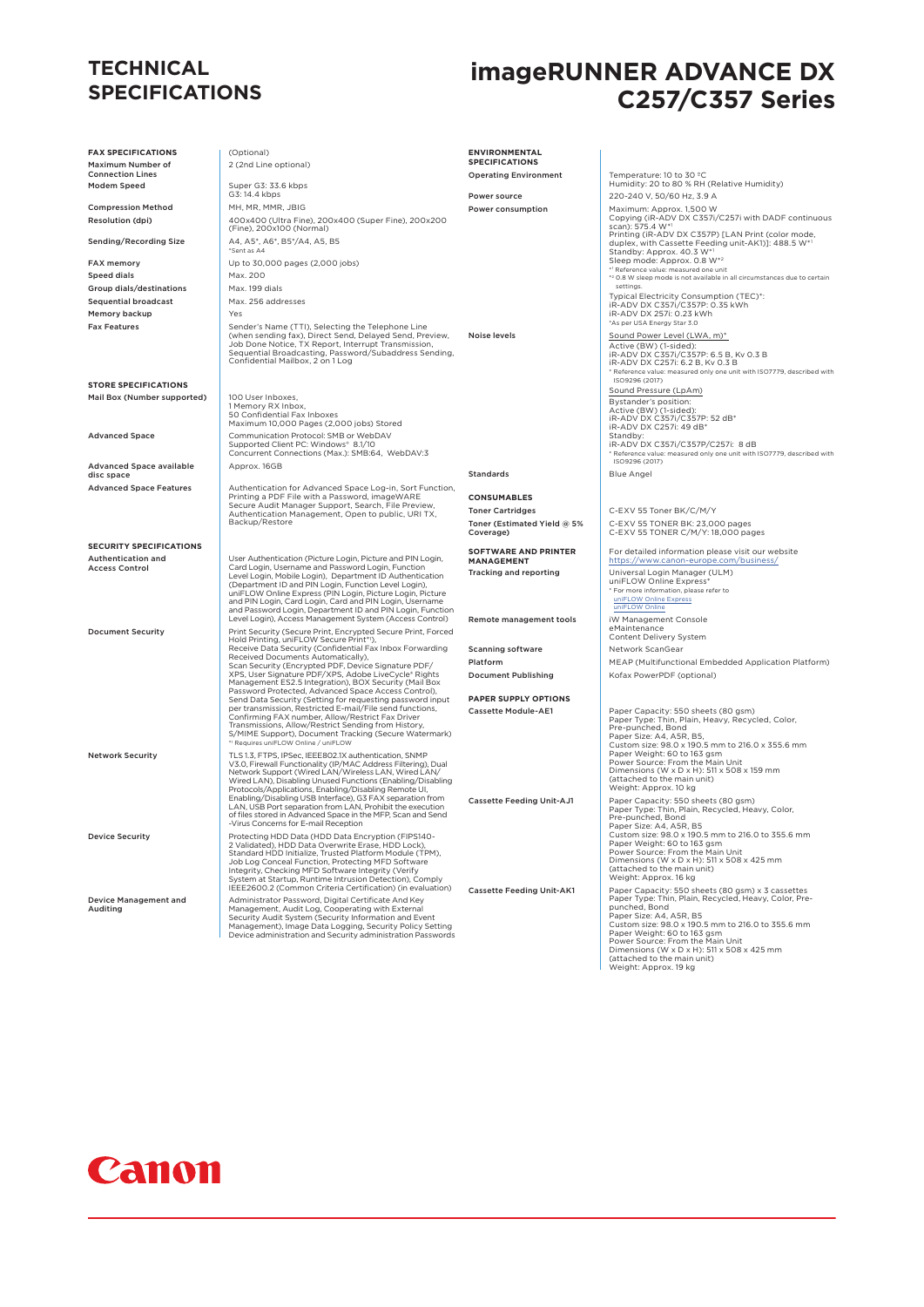#### **TECHNICAL SPECIFICATIONS**

## **imageRUNNER ADVANCE DX C257/C357 Series**

| <b>FAX SPECIFICATIONS</b>                               | (Optional)                                                                                                                                                                                                                                                                                            | <b>ENVIRONMENTAL</b>                     |                                                                                                                                                                                                               |
|---------------------------------------------------------|-------------------------------------------------------------------------------------------------------------------------------------------------------------------------------------------------------------------------------------------------------------------------------------------------------|------------------------------------------|---------------------------------------------------------------------------------------------------------------------------------------------------------------------------------------------------------------|
| Maximum Number of<br><b>Connection Lines</b>            | 2 (2nd Line optional)                                                                                                                                                                                                                                                                                 | <b>SPECIFICATIONS</b>                    |                                                                                                                                                                                                               |
| Modem Speed                                             | Super G3: 33.6 kbps                                                                                                                                                                                                                                                                                   | <b>Operating Environment</b>             | Temperature: 10 to 30 °C<br>Humidity: 20 to 80 % RH (Relative Humidity)                                                                                                                                       |
|                                                         | G3: 14.4 kbps                                                                                                                                                                                                                                                                                         | Power source                             | 220-240 V, 50/60 Hz, 3.9 A                                                                                                                                                                                    |
| <b>Compression Method</b>                               | MH, MR, MMR, JBIG                                                                                                                                                                                                                                                                                     | Power consumption                        | Maximum: Approx. 1,500 W<br>Copying (iR-ADV DX C357i/C257i with DADF continuous                                                                                                                               |
| Resolution (dpi)                                        | 400x400 (Ultra Fine), 200x400 (Super Fine), 200x200<br>(Fine), 200x100 (Normal)                                                                                                                                                                                                                       |                                          | scan): 575.4 W*1                                                                                                                                                                                              |
| <b>Sending/Recording Size</b>                           | A4, A5*, A6*, B5*/A4, A5, B5<br>*Sent as A4                                                                                                                                                                                                                                                           |                                          | Printing (iR-ADV DX C357P) [LAN Print (color mode,<br>duplex, with Cassette Feeding unit-AK1)]: 488.5 W*1<br>Standby: Approx. 40.3 W*1                                                                        |
| FAX memory                                              | Up to 30,000 pages (2,000 jobs)                                                                                                                                                                                                                                                                       |                                          | Sleep mode: Approx. 0.8 W*2<br>*1 Reference value: measured one unit                                                                                                                                          |
| <b>Speed dials</b>                                      | Max. 200                                                                                                                                                                                                                                                                                              |                                          | *2 0.8 W sleep mode is not available in all circumstances due to certain<br>settings.                                                                                                                         |
| Group dials/destinations<br><b>Sequential broadcast</b> | Max. 199 dials<br>Max. 256 addresses                                                                                                                                                                                                                                                                  |                                          | Typical Electricity Consumption (TEC)*:                                                                                                                                                                       |
| Memory backup                                           | Yes                                                                                                                                                                                                                                                                                                   |                                          | iR-ADV DX C357i/C357P: 0.35 kWh<br>iR-ADV DX 257i: 0.23 kWh                                                                                                                                                   |
| <b>Fax Features</b>                                     | Sender's Name (TTI), Selecting the Telephone Line                                                                                                                                                                                                                                                     |                                          | *As per USA Energy Star 3.0                                                                                                                                                                                   |
|                                                         | (when sending fax), Direct Send, Delayed Send, Preview,<br>Job Done Notice, TX Report, Interrupt Transmission,<br>Sequential Broadcasting, Password/Subaddress Sending,<br>Confidential Mailbox, 2 on 1 Log                                                                                           | Noise levels                             | Sound Power Level (LWA, m)*<br>Active (BW) (1-sided):<br>iR-ADV DX C357i/C357P: 6.5 B, Kv 0.3 B<br>iR-ADV DX C257i: 6.2 B, Kv 0.3 B<br>* Reference value: measured only one unit with ISO7779, described with |
| <b>STORE SPECIFICATIONS</b>                             |                                                                                                                                                                                                                                                                                                       |                                          | ISO9296 (2017)<br>Sound Pressure (LpAm)                                                                                                                                                                       |
| Mail Box (Number supported)                             | 100 User Inboxes,<br>1 Memory RX Inbox,<br>50 Confidential Fax Inboxes<br>Maximum 10,000 Pages (2,000 jobs) Stored                                                                                                                                                                                    |                                          | Bystander's position:<br>Active (BW) (1-sided):<br>iR-ADV DX C357i/C357P: 52 dB*<br>iR-ADV DX C257i: 49 dB*                                                                                                   |
| <b>Advanced Space</b>                                   | Communication Protocol: SMB or WebDAV<br>Supported Client PC: Windows* 8.1/10<br>Concurrent Connections (Max.): SMB:64, WebDAV:3                                                                                                                                                                      |                                          | Standby:<br>iR-ADV DX C357i/C357P/C257i: 8 dB<br>* Reference value: measured only one unit with ISO7779, described with<br>ISO9296 (2017)                                                                     |
| <b>Advanced Space available</b><br>disc space           | Approx. 16GB                                                                                                                                                                                                                                                                                          | Standards                                | <b>Blue Angel</b>                                                                                                                                                                                             |
| <b>Advanced Space Features</b>                          | Authentication for Advanced Space Log-in, Sort Function,                                                                                                                                                                                                                                              |                                          |                                                                                                                                                                                                               |
|                                                         | Printing a PDF File with a Password, imageWARE<br>Secure Audit Manager Support, Search, File Preview,<br>Authentication Management, Open to public, URI TX,<br>Backup/Restore                                                                                                                         | <b>CONSUMABLES</b>                       |                                                                                                                                                                                                               |
|                                                         |                                                                                                                                                                                                                                                                                                       | <b>Toner Cartridges</b>                  | C-EXV 55 Toner BK/C/M/Y                                                                                                                                                                                       |
|                                                         |                                                                                                                                                                                                                                                                                                       | Toner (Estimated Yield @ 5%<br>Coverage) | C-EXV 55 TONER BK: 23,000 pages<br>C-EXV 55 TONER C/M/Y: 18,000 pages                                                                                                                                         |
| <b>SECURITY SPECIFICATIONS</b>                          |                                                                                                                                                                                                                                                                                                       | <b>SOFTWARE AND PRINTER</b>              | For detailed information please visit our website                                                                                                                                                             |
| Authentication and<br><b>Access Control</b>             | User Authentication (Picture Login, Picture and PIN Login,<br>Card Login, Username and Password Login, Function                                                                                                                                                                                       | <b>MANAGEMENT</b>                        | https://www.canon-europe.com/business/                                                                                                                                                                        |
|                                                         | Level Login, Mobile Login), Department ID Authentication<br>(Department ID and PIN Login, Function Level Login),<br>uniFLOW Online Express (PIN Login, Picture Login, Picture<br>and PIN Login, Card Login, Card and PIN Login, Username<br>and Password Login, Department ID and PIN Login, Function | Tracking and reporting                   | Universal Login Manager (ULM)<br>uniFLOW Online Express*<br>* For more information, please refer to<br>uniFLOW Online Express<br>uniFLOW Online                                                               |
| <b>Document Security</b>                                | Level Login), Access Management System (Access Control)<br>Print Security (Secure Print, Encrypted Secure Print, Forced<br>Hold Printing, uniFLOW Secure Print*1),                                                                                                                                    | Remote management tools                  | iW Management Console<br>eMaintenance<br>Content Delivery System                                                                                                                                              |
|                                                         | Receive Data Security (Confidential Fax Inbox Forwarding                                                                                                                                                                                                                                              | <b>Scanning software</b>                 | Network ScanGear                                                                                                                                                                                              |
|                                                         | Received Documents Automatically),<br>Scan Security (Encrypted PDF, Device Signature PDF/                                                                                                                                                                                                             | Platform                                 | MEAP (Multifunctional Embedded Application Platform)                                                                                                                                                          |
|                                                         | XPS, User Signature PDF/XPS, Adobe LiveCycle® Rights<br>Management ES2.5 Integration), BOX Security (Mail Box<br>Password Protected, Advanced Space Access Control),                                                                                                                                  | <b>Document Publishing</b>               | Kofax PowerPDF (optional)                                                                                                                                                                                     |
|                                                         | Send Data Security (Setting for requesting password input<br>per transmission, Restricted E-mail/File send functions,                                                                                                                                                                                 | PAPER SUPPLY OPTIONS                     |                                                                                                                                                                                                               |
|                                                         | Confirming FAX number, Allow/Restrict Fax Driver<br>Transmissions, Allow/Restrict Sending from History,<br>S/MIME Support), Document Tracking (Secure Watermark)                                                                                                                                      | <b>Cassette Module-AE1</b>               | Paper Capacity: 550 sheets (80 gsm)<br>Paper Type: Thin, Plain, Heavy, Recycled, Color,<br>Pre-punched, Bond<br>Paper Size: A4, A5R, B5,                                                                      |
|                                                         | *1 Requires uniFLOW Online / uniFLOW                                                                                                                                                                                                                                                                  |                                          | Custom size: 98.0 x 190.5 mm to 216.0 x 355.6 mm                                                                                                                                                              |
| <b>Network Security</b>                                 | TLS 1.3, FTPS, IPSec, IEEE802.1X authentication, SNMP<br>V3.0, Firewall Functionality (IP/MAC Address Filtering), Dual                                                                                                                                                                                |                                          | Paper Weight: 60 to 163 gsm<br>Power Source: From the Main Unit                                                                                                                                               |
|                                                         | Network Support (Wired LAN/Wireless LAN, Wired LAN/<br>Wired LAN), Disabling Unused Functions (Enabling/Disabling                                                                                                                                                                                     |                                          | Dimensions (W x D x H): 511 x 508 x 159 mm<br>(attached to the main unit)                                                                                                                                     |
|                                                         | Protocols/Applications, Enabling/Disabling Remote UI,                                                                                                                                                                                                                                                 |                                          | Weight: Approx. 10 kg                                                                                                                                                                                         |
|                                                         | Enabling/Disabling USB Interface), G3 FAX separation from<br>LAN, USB Port separation from LAN, Prohibit the execution<br>of files stored in Advanced Space in the MFP, Scan and Send<br>-Virus Concerns for E-mail Reception                                                                         | <b>Cassette Feeding Unit-AJ1</b>         | Paper Capacity: 550 sheets (80 gsm)<br>Paper Type: Thin, Plain, Recycled, Heavy, Color,<br>Pre-punched, Bond                                                                                                  |
| Device Security                                         | Protecting HDD Data (HDD Data Encryption (FIPS140-<br>2 Validated), HDD Data Overwrite Erase, HDD Lock),<br>Standard HDD Initialize, Trusted Platform Module (TPM),                                                                                                                                   |                                          | Paper Size: A4, A5R, B5<br>Custom size: 98.0 x 190.5 mm to 216.0 to 355.6 mm<br>Paper Weight: 60 to 163 gsm<br>Power Source: From the Main Unit                                                               |
|                                                         | Job Log Conceal Function, Protecting MFD Software<br>Integrity, Checking MFD Software Integrity (Verify                                                                                                                                                                                               |                                          | Dimensions (W x D x H): 511 x 508 x 425 mm<br>(attached to the main unit)                                                                                                                                     |
|                                                         | System at Startup, Runtime Intrusion Detection), Comply<br>IEEE2600.2 (Common Criteria Certification) (in evaluation)                                                                                                                                                                                 |                                          | Weight: Approx. 16 kg                                                                                                                                                                                         |
| Device Management and                                   | Administrator Password, Digital Certificate And Key                                                                                                                                                                                                                                                   | <b>Cassette Feeding Unit-AK1</b>         | Paper Capacity: 550 sheets (80 gsm) x 3 cassettes<br>Paper Type: Thin, Plain, Recycled, Heavy, Color, Pre-                                                                                                    |
| Auditing                                                | Management, Audit Log, Cooperating with External<br>Security Audit System (Security Information and Event<br>Management), Image Data Logging, Security Policy Setting<br>Device administration and Security administration Passwords                                                                  |                                          | punched, Bond<br>Paper Size: A4, A5R, B5<br>Custom size: 98.0 x 190.5 mm to 216.0 to 355.6 mm<br>Paper Weight: 60 to 163 gsm<br>Power Source: From the Main Unit                                              |
|                                                         |                                                                                                                                                                                                                                                                                                       |                                          | Dimensions (W x D x H): 511 x 508 x 425 mm<br>(attached to the main unit)<br>Weight: Approx. 19 kg                                                                                                            |